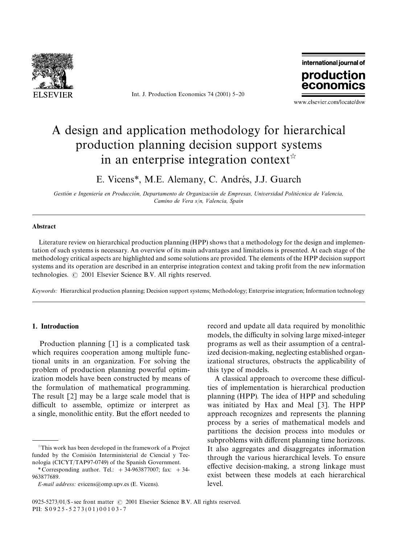

Int. J. Production Economics  $74$  (2001)  $5-20$ 



www.elsevier.com/locate/dsw

# Adesign and application methodology for hierarchical production planning decision support systems in an enterprise integration context\*

E. Vicens<sup>\*</sup>, M.E. Alemany, C. Andrés, J.J. Guarch

 $G$ estión e Ingeniería en Producción, Departamento de Organización de Empresas, Universidad Politécnica de Valencia, *Camino de Vera s*/*n, Valencia, Spain*

#### Abstract

Literature review on hierarchical production planning (HPP) shows that a methodology for the design and implementation of such systems is necessary. An overview of its main advantages and limitations is presented. At each stage of the methodology critical aspects are highlighted and some solutions are provided. The elements of the HPP decision support systems and its operation are described in an enterprise integration context and taking profit from the new information technologies.  $\odot$  2001 Elsevier Science B.V. All rights reserved.

*Keywords:* Hierarchical production planning; Decision support systems; Methodology; Enterprise integration; Information technology

### 1. Introduction

Production planning [1] is a complicated task which requires cooperation among multiple functional units in an organization. For solving the problem of production planning powerful optimization models have been constructed by means of the formulation of mathematical programming. The result [2] may be a large scale model that is difficult to assemble, optimize or interpret as a single, monolithic entity. But the effort needed to

record and update all data required by monolithic models, the difficulty in solving large mixed-integer programs as well as their assumption of a centralized decision-making, neglecting established organizational structures, obstructs the applicability of this type of models.

A classical approach to overcome these difficulties of implementation is hierarchical production planning (HPP). The idea of HPP and scheduling was initiated by Hax and Meal [3]. The HPP approach recognizes and represents the planning process by a series of mathematical models and partitions the decision process into modules or subproblems with different planning time horizons. It also aggregates and disaggregates information through the various hierarchical levels. To ensure effective decision-making, a strong linkage must exist between these models at each hierarchical level.

This work has been developed in the framework of a Project funded by the Comisión Interministerial de Ciencial y Tecnología (CICYT/TAP97-0749) of the Spanish Government.

*<sup>\*</sup>* Corresponding author. Tel.: #34-963877007; fax: #34- 963877689.

*E-mail address:* evicens@omp.upv.es (E. Vicens).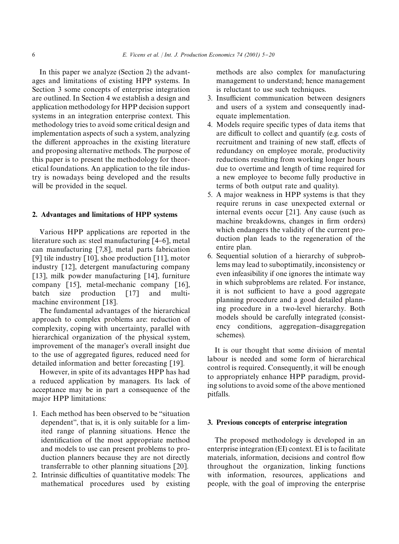In this paper we analyze (Section 2) the advantages and limitations of existing HPP systems. In Section 3 some concepts of enterprise integration are outlined. In Section 4 we establish a design and application methodology for HPP decision support systems in an integration enterprise context. This methodology tries to avoid some critical design and implementation aspects of such a system, analyzing the different approaches in the existing literature and proposing alternative methods. The purpose of this paper is to present the methodology for theoretical foundations. An application to the tile industry is nowadays being developed and the results will be provided in the sequel.

### 2. Advantages and limitations of HPP systems

Various HPP applications are reported in the literature such as: steel manufacturing [4–6], metal can manufacturing [7,8], metal parts fabrication [9] tile industry  $[10]$ , shoe production  $[11]$ , motor industry [12], detergent manufacturing company [13], milk powder manufacturing [14], furniture company [15], metal-mechanic company [16], batch size production [17] and multimachine environment [18].

The fundamental advantages of the hierarchical approach to complex problems are: reduction of complexity, coping with uncertainty, parallel with hierarchical organization of the physical system, improvement of the manager's overall insight due to the use of aggregated figures, reduced need for detailed information and better forecasting [19].

However, in spite of its advantages HPP has had a reduced application by managers. Its lack of acceptance may be in part a consequence of the major HPP limitations:

- 1. Each method has been observed to be "situation" dependent", that is, it is only suitable for a limited range of planning situations. Hence the identification of the most appropriate method and models to use can present problems to production planners because they are not directly transferrable to other planning situations [20].
- 2. Intrinsic difficulties of quantitative models: The mathematical procedures used by existing

methods are also complex for manufacturing management to understand; hence management is reluctant to use such techniques.

- 3. Insufficient communication between designers and users of a system and consequently inadequate implementation.
- 4. Models require specific types of data items that are difficult to collect and quantify (e.g. costs of recruitment and training of new staff, effects of redundancy on employee morale, productivity reductions resulting from working longer hours due to overtime and length of time required for a new employee to become fully productive in terms of both output rate and quality).
- 5. Amajor weakness in HPP systems is that they require reruns in case unexpected external or internal events occur [21]. Any cause (such as machine breakdowns, changes in firm orders) which endangers the validity of the current production plan leads to the regeneration of the entire plan.
- 6. Sequential solution of a hierarchy of subproblems may lead to suboptimatily, inconsistency or even infeasibility if one ignores the intimate way in which subproblems are related. For instance, it is not sufficient to have a good aggregate planning procedure and a good detailed planning procedure in a two-level hierarchy. Both models should be carefully integrated (consistency conditions, aggregation-disaggregation schemes).

It is our thought that some division of mental labour is needed and some form of hierarchical control is required. Consequently, it will be enough to appropriately enhance HPP paradigm, providing solutions to avoid some of the above mentioned pitfalls.

#### 3. Previous concepts of enterprise integration

The proposed methodology is developed in an enterprise integration (EI) context. EI is to facilitate materials, information, decisions and control flow throughout the organization, linking functions with information, resources, applications and people, with the goal of improving the enterprise